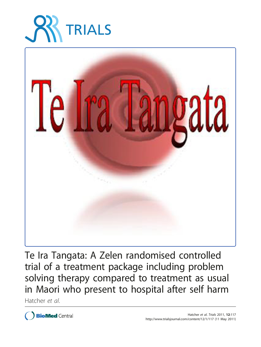



Te Ira Tangata: A Zelen randomised controlled trial of a treatment package including problem solving therapy compared to treatment as usual in Maori who present to hospital after self harm

Hatcher et al.

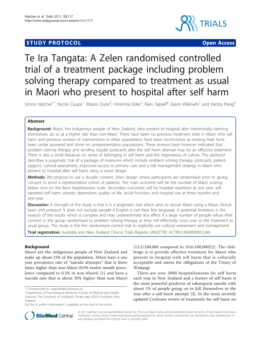# **STUDY PROTOCOL CONSUMING ACCESS**



# Te Ira Tangata: A Zelen randomised controlled trial of a treatment package including problem solving therapy compared to treatment as usual in Maori who present to hospital after self harm

Simon Hatcher<sup>1\*</sup>, Nicole Coupe<sup>1</sup>, Mason Durie<sup>2</sup>, Hinemoa Elder<sup>3</sup>, Rees Tapsell<sup>4</sup>, Karen Wikiriwhi<sup>1</sup> and Varsha Parag<sup>5</sup>

# Abstract

**Background:** Maori, the indigenous people of New Zealand, who present to hospital after intentionally harming themselves, do so at a higher rate than non-Maori. There have been no previous treatment trials in Maori who self harm and previous reviews of interventions in other populations have been inconclusive as existing trials have been under powered and done on unrepresentative populations. These reviews have however indicated that problem solving therapy and sending regular postcards after the self harm attempt may be an effective treatment. There is also a small literature on sense of belonging in self harm and the importance of culture. This protocol describes a pragmatic trial of a package of measures which include problem solving therapy, postcards, patient support, cultural assessment, improved access to primary care and a risk management strategy in Maori who present to hospital after self harm using a novel design.

Methods: We propose to use a double consent Zelen design where participants are randomised prior to giving consent to enrol a representative cohort of patients. The main outcome will be the number of Maori scoring below nine on the Beck Hopelessness Scale. Secondary outcomes will be hospital repetition at one year; self reported self harm; anxiety; depression; quality of life; social function; and hospital use at three months and one year.

Discussion: A strength of the study is that it is a pragmatic trial which aims to recruit Maori using a Maori clinical team and protocol. It does not exclude people if English is not their first language. A potential limitation is the analysis of the results which is complex and may underestimate any effect if a large number of people refuse their consent in the group randomised to problem solving therapy as they will effectively cross over to the treatment as usual group. This study is the first randomised control trial to explicitly use cultural assessment and management. Trial registration: Australia and New Zealand Clinical Trials Register (ANZCTR): [ACTRN12609000952246](http://www.anzctr.org.au/ACTRN12609000952246.aspx)

# Background

Maori are the indigenous people of New Zealand and make up about 15% of the population. Māori have a one year prevalence rate of "suicide attempts" that is three times higher than non-Mäori (0.9% twelve month prevalence compared to 0.3% in non-Maori) [[1](#page-11-0)] and have a suicide rate that is about 30% higher than non-Maori

\* Correspondence: [s.hatcher@auckland.ac.nz](mailto:s.hatcher@auckland.ac.nz)

(13.3/100,000 compared to 10.6/100,000)[\[2](#page-11-0)]. The challenge is to provide effective treatment for Maori who present to hospital with self harm that is culturally acceptable and meets the obligations of the Treaty of Waitangi.

There are over 5000 hospitalisations for self harm each year in New Zealand and a history of self harm is the most powerful predictor of subsequent suicide with about 1% of people going on to kill themselves in the year after a self harm attempt [\[3](#page-11-0)]. In the most recently updated Cochrane review of treatments for self harm no



© 2011 Hatcher et al; licensee BioMed Central Ltd. This is an Open Access article distributed under the terms of the Creative Commons Attribution License [\(http://creativecommons.org/licenses/by/2.0](http://creativecommons.org/licenses/by/2.0)), which permits unrestricted use, distribution, and reproduction in any medium, provided the original work is properly cited.

<sup>&</sup>lt;sup>1</sup>Department of Psychological Medicine, Faculty of Medical and Health Sciences, The University of Auckland, Private bag 92019, Auckland, New Zealand

Full list of author information is available at the end of the article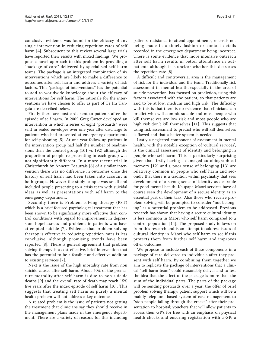conclusive evidence was found for the efficacy of any single intervention in reducing repetition rates of self harm [[4\]](#page-11-0). Subsequent to this review several large trials have reported their results with mixed findings. We propose a novel approach to this problem by providing a "package of care" delivered by specialised self harm teams. The package is an integrated combination of six interventions which are likely to make a difference to outcomes after self harm and address a variety of risk factors. This "package of interventions" has the potential to add to worldwide knowledge about the efficacy of interventions for self harm. The rationale for the interventions we have chosen to offer as part of Te Ira Tangata are described below.

Firstly there are postcards sent to patients after the episode of self harm. In 2005 Greg Carter developed an intervention in which a series of eight "postcards" were sent in sealed envelopes over one year after discharge to patients who had presented at emergency departments for self-poisoning [[5\]](#page-11-0). At one year follow-up patients in the intervention group had half the number of readmissions than the control group (101 vs 192) although the proportion of people re-presenting in each group was not significantly different. In a more recent trial in Christchurch by Annette Beautrais [\[6](#page-11-0)] of a similar intervention there was no difference in outcomes once the history of self harm had been taken into account in both groups. However the study sample was small and included people presenting to a crisis team with suicidal ideas as well as presentations with self harm to the emergency department.

Secondly there is Problem-solving therapy (PST) which is a brief focused psychological treatment that has been shown to be significantly more effective than control conditions with regard to improvement in depression, hopelessness and problems in patients who have attempted suicide [[7](#page-11-0)]. Evidence that problem solving therapy is effective in reducing repetition rates is less conclusive, although promising trends have been reported [[8\]](#page-11-0). There is general agreement that problem solving therapy is a cost-effective, brief intervention that has the potential to be a feasible and effective addition to existing services [\[7](#page-11-0)].

Next is the issue of the high mortality rate from non suicide causes after self harm. About 50% of the premature mortality after self harm is due to non suicide deaths [\[9](#page-11-0)] and the overall rate of death may reach 15% five years after the index episode of self harm [[10\]](#page-11-0). This suggests that treating self harm as purely a mental health problem will not address a key outcome.

A related problem is the issue of patients not getting the treatment that clinicians say they should receive in the management plans made in the emergency department. There are a variety of reasons for this including

patients' resistance to attend appointments, referrals not being made in a timely fashion or contact details recorded in the emergency department being incorrect. There is some evidence that more intensive outreach after self harm results in better attendance in outpatients although it is unclear whether this decreases the repetition rate [\[8](#page-11-0)].

A difficult and controversial area is the management of risk for the individual and the team. Traditionally risk assessment in mental health, especially in the area of suicide prevention, has focused on prediction, using risk factors associated with the patient, so that patients are said to be at low, medium and high risk. The difficulty with this is that there is no evidence that clinicians can predict who will commit suicide and most people who kill themselves are low risk and most people who are high risk don't kill themselves [\[11\]](#page-11-0). This suggests that using risk assessment to predict who will kill themselves is flawed and that a better system is needed.

Lastly a neglected component of assessment in mental health, with the notable exception of 'cultural services', is the clinical assessment of identity and belonging in people who self harm. This is particularly surprising given that firstly having a damaged autobiographical memory [[12](#page-11-0)] and a poor sense of belonging [[13](#page-11-0)] are relatively common in people who self harm and secondly that there is a tradition within psychiatry that sees development of a strong sense of identity as desirable for good mental health. Kaupapa Maori services have of course seen the development of a secure identity as an essential part of their task. Also those who receive problem solving will be prompted to consider "not belonging" as a potential problem to be addressed. Previous research has shown that having a secure cultural identity is less common in Māori who self harm compared to a control population [\[14](#page-11-0)]. The proposed study follows on from this research and is an attempt to address issues of cultural identity in Māori who self harm to see if this protects them from further self harm and improves other outcomes.

We propose to include each of these components in a package of care delivered to individuals after they present with self harm. By combining them together we aim to replicate the package of interventions that a clinical "self harm team" could reasonably deliver and to test the idea that the effect of the package is more than the sum of the individual parts. The parts of the package will be sending postcards over a year; the offer of brief problem solving therapy; patient support which will be a mainly telephone based system of case management to "stop people falling through the cracks" after their presentation to hospital; vouchers that will allow patients to access their GP's for free with an emphasis on physical health checks and ensuring registration with a GP; a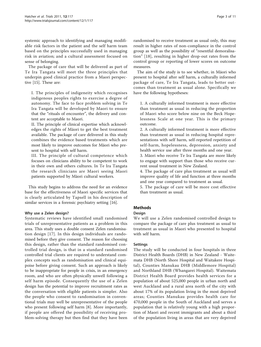systemic approach to identifying and managing modifiable risk factors in the patient and the self harm team based on the principles successfully used in managing risk in aviation; and a cultural assessment focused on sense of belonging.

The package of care that will be delivered as part of Te Ira Tangata will meet the three principles that underpin good clinical practice from a Maori perspective [[15](#page-11-0)]. These are:

I. The principles of indigeneity which recognises indigenous peoples rights to exercise a degree of autonomy. The face to face problem solving in Te Ira Tangata will be developed by Maori to ensure that the "rituals of encounter", the delivery and content are acceptable to Maori.

II. The principle of clinical expertise which acknowledges the rights of Mäori to get the best treatment available. The package of care delivered in this study combines the evidence based treatments which are most likely to improve outcomes for Mäori who present to hospital with self harm.

III. The principle of cultural competence which focuses on clinicians ability to be competent to work in their own and others cultures. In Te Ira Tangata the research clinicians are Maori seeing Maori patients supported by Mäori cultural workers.

This study begins to address the need for an evidence base for the effectiveness of Maori specific services that is clearly articulated by Tapsell in his description of similar services in a forensic psychiatry setting [\[16\]](#page-11-0).

## Why use a Zelen design?

Systematic reviews have identified small randomised trials of unrepresentative patients as a problem in this area. This study uses a double consent Zelen randomisation design [[17](#page-11-0)]. In this design individuals are randomised before they give consent. The reason for choosing this design, rather than the standard randomised controlled trial design, is that in a standard randomised controlled trial clients are required to understand complex concepts such as randomisation and clinical equipoise before giving consent. Such an approach is likely to be inappropriate for people in crisis, in an emergency room, and who are often physically unwell following a self harm episode. Consequently the use of a Zelen design has the potential to improve recruitment rates as the conversation with eligible patients is simpler. Also the people who consent to randomisation in conventional trials may well be unrepresentative of the people who present following self harm [[8\]](#page-11-0). More importantly, if people are offered the possibility of receiving problem-solving therapy but then find that they have been

randomised to receive treatment as usual only, this may result in higher rates of non-compliance in the control group as well as the possibility of "resentful demoralisation" [[18\]](#page-11-0), resulting in higher drop-out rates from the control group or reporting of lower scores on outcome measures.

The aim of the study is to see whether, in Māori who present to hospital after self harm, a culturally informed package of care, Te Ira Tangata, leads to better outcomes than treatment as usual alone. Specifically we have the following hypotheses:

1. A culturally informed treatment is more effective than treatment as usual in reducing the proportion of Maori who score below nine on the Beck Hopelessness Scale at one year. This is the primary outcome.

2. A culturally informed treatment is more effective than treatment as usual in reducing hospital representations with self harm, self-reported repetition of self-harm, hopelessness, depression, anxiety and health service use after three months and one year.

3. Māori who receive Te Ira Tangata are more likely to engage with support than those who receive current usual treatment in New Zealand.

4. The package of care plus treatment as usual will improve quality of life and function at three months and one year compared to treatment as usual.

5. The package of care will be more cost effective than treatment as usual.

# Methods

# Design

We will use a Zelen randomised controlled design to compare the package of care plus treatment as usual to treatment as usual in Maori who presented to hospital with self harm.

# **Settings**

The study will be conducted in four hospitals in three District Health Boards (DHB) in New Zealand - Waitemata DHB (North Shore Hospital and Waitakere Hospital), Counties Manukau DHB (Middlemore Hospital) and Northland DHB (Whangarei Hospital). Waitemata District Health Board provides health services for a population of about 525,000 people in urban north and west Auckland and a rural area north of the city with about 17% of its population living in the most deprived areas; Counties Manukau provides health care for 470,000 people in the South of Auckland and serves a population that is relatively young with a high proportion of Maori and recent immigrants and about a third of the population living in areas that are very deprived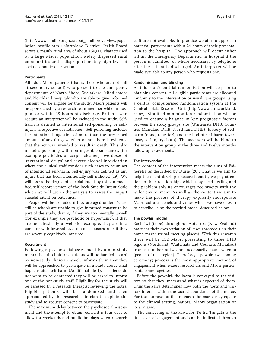([http://www.cmdhb.org.nz/about\\_cmdhb/overview/popu](http://www.cmdhb.org.nz/about_cmdhb/overview/population-profile.htm)[lation-profile.htm](http://www.cmdhb.org.nz/about_cmdhb/overview/population-profile.htm)); Northland District Health Board serves a mainly rural area of about 150,000 characterised by a large Maori population, widely dispersed rural communities and a disproportionately high level of socio-economic deprivation.

## Participants

All adult Māori patients (that is those who are not still at secondary school) who present to the emergency departments of North Shore, Waitakere, Middlemore and Northland hospitals who are able to give informed consent will be eligible for the study. Māori patients will be approached by a research team member while in hospital or within 48 hours of discharge. Patients who require an interpreter will be included in the study. Selfharm is defined as intentional self-poisoning or selfinjury, irrespective of motivation. Self-poisoning includes the intentional ingestion of more than the prescribed amount of any drug, whether or not there is evidence that the act was intended to result in death. This also includes poisoning with non-ingestible substances (for example pesticides or carpet cleaner), overdoses of 'recreational drugs' and severe alcohol intoxication where the clinical staff consider such cases to be an act of intentional self-harm. Self-injury was defined as any injury that has been intentionally self-inflicted [\[19](#page-11-0)]. We will assess the degree of suicidal intent by using a modified self report version of the Beck Suicide Intent Scale which we will use in the analysis to assess the impact suicidal intent on outcomes.

People will be excluded if they are aged under 17; are still at school; are unable to give informed consent to be part of the study, that is, if they are too mentally unwell (for example they are psychotic or hypomanic); if they are too physically unwell (for example, they are in a coma or with lowered level of consciousness); or if they are severely cognitively impaired.

#### Recruitment

Following a psychosocial assessment by a non-study mental health clinician, patients will be handed a card by non-study clinician which informs them that they will be approached to participate in a study about what happens after self-harm (Additional file [1](#page-10-0)). If patients do not want to be contacted they will be asked to inform one of the non-study staff. Eligibility for the study will be assessed by a research therapist reviewing the notes. Eligible patients will be randomised and then approached by the research clinician to explain the study and to request consent to participate.

The maximum delay between the psychosocial assessment and the attempt to obtain consent is four days to allow for weekends and public holidays when research staff are not available. In practice we aim to approach potential participants within 24 hours of their presentation to the hospital. The approach will occur either within the Emergency Department, in hospital if the person is admitted, or where necessary, by telephone after the patient is discharged. An interpreter will be made available to any person who requests one.

#### Randomisation and blinding

As this is a Zelen trial randomisation will be prior to obtaining consent. All eligible participants are allocated randomly to the intervention or usual care groups using a central computerised randomisation system at the Clinical Trials Research Unit [\(http://www.ctru.auckland.](http://www.ctru.auckland.ac.nz) [ac.nz](http://www.ctru.auckland.ac.nz)). Stratified minimisation randomisation will be used to ensure a balance in key prognostic factors between the study groups: site (Waitemata DHB, Counties Manukau DHB, Northland DHB), history of selfharm (none, repeater), and method of self-harm (overdose, self injury, both). The assessors will be blind to the intervention group at the three and twelve months follow up assessments.

#### The intervention

The content of the intervention meets the aims of Paiheretia as described by Durie [[20\]](#page-11-0). That is we aim to help the client develop a secure identity, we pay attention to their relationships which may need healing and the problem solving encourages reciprocity with the wider environment. As well as the content we aim to make the process of therapy explicitly incorporate Maori cultural beliefs and values which we have chosen to describe using the powhiri model described below.

#### The powhiri model

Each iwi (tribe) throughout Aotearoa (New Zealand) practises their own variation of kawa (protocol) on their home marae (tribal meeting places). With this research there will be 132 Māori presenting to three DHB regions (Northland, Waitemata and Counties Manukau) from a number of iwi, not necessarily mana whenua (people of that region). Therefore, a powhiri (welcoming ceremony) process is the most appropriate method of engagement when Māori researchers and Māori participants come together.

Before the powhiri, the kawa is conveyed to the visitors so that they understand what is expected of them. Thus the kawa determines how both the hosts and visitors interact within the sacred boundaries of the marae. For the purposes of this research the marae may equate to the clinical setting, hauora, Māori organisation or local marae.

The conveying of the kawa for Te Ira Tangata is the first level of engagement and can be indicated through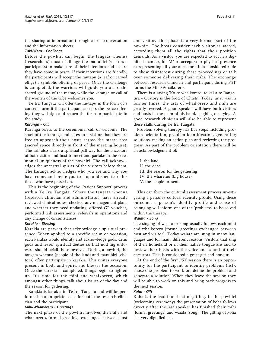the sharing of information through a brief conversation and the information sheets.

# Taki/Wero - Challenge

Before the powhiri can begin, the tangata whenua (researchers) must challenge the manuhiri (visitors participants) to make sure of their intentions and ensure they have come in peace. If their intentions are friendly, the participants will accept the rautapu (a leaf or carved effigy) a symbolic offering of peace. Once the challenge is completed, the warriors will guide you on to the sacred ground of the marae, while the karanga or call of the women of the tribe welcomes you.

Te Ira Tangata will offer the rautapu in the form of a consent form if the participant accepts the peace offering they will sign and return the form to participate in the study.

#### Karanga - Call

Karanga refers to the ceremonial call of welcome. The start of the karanga indicates to a visitor that they are free to approach their hosts across the marae atea (sacred space directly in front of the meeting house). The call also clears a spiritual pathway for the ancestors of both visitor and host to meet and partake in the ceremonial uniqueness of the powhiri. The call acknowledges the ancestral spirits of the visitors before them. The karanga acknowledges who you are and why you have come, and invite you to stop and shed tears for those who have passed on.

This is the beginning of the 'Patient Support' process within Te Ira Tangata. Where the tangata whenua (research clinician and administrator) have already reviewed clinical notes, checked any management plans and whether they need updating, offered GP voucher, performed risk assessments, referrals in operations and any change of circumstances.

#### Karakia - Blessing

Karakia are prayers that acknowledge a spiritual presence. When applied to a specific realm or occasion, each karakia would identify and acknowledge gods, demi gods and lesser spiritual deities so that nothing untoward should befall those involved. During a powhiri, the tangata whenua (people of the land) and manuhiri (visitors) often participate in karakia. This unites everyone present in body and spirit, and blesses the occasion. Once the karakia is completed, things begin to lighten up. It's time for the mihi and whaikorero, which amongst other things, talk about issues of the day and the reason for gathering.

Karakia is karakia in Te Ira Tangata and will be performed in appropriate sense for both the research clinician and the participant.

#### Mihi/Whaikorero - Greetings

The next phase of the powhiri involves the mihi and whaikorero, formal greetings exchanged between host and visitor. This phase is a very formal part of the powhiri. The hosts consider each visitor as sacred, according them all the rights that their position demands. As a visitor, you are expected to act in a dignified manner, for Māori accept your physical presence as representing all your ancestors. It is considered rude to show disinterest during these proceedings or talk over someone delivering their mihi. The exchange between research clinician and participant during PST forms the Mihi/Whaikorero.

There is a saying 'Ko te whaikorero, te kai a te Rangatira - Oratory is the food of Chiefs'. Today, as it was in former times, the arts of whaikorero and mihi are greatly revered. A good speaker will have both visitors and hosts in the palm of his hand, laughing or crying. A good research clinician will also be able to represent these skills during Te Ira Tangata.

Problem solving therapy has five steps including problem orientation, problem identification, generating solutions, making an action plan and reviewing the progress. As part of the problem orientation there will be an acknowledgement of:

I. the land II. the dead

- III. the reason for the gathering IV. the wharenui (big house)
- 
- V. the people present.

This can form the cultural assessment process investigating a person's cultural identity profile. Using these outcomes a person's identity profile and sense of belonging will inform one of the 'problems' to be solved within the therapy.

#### Waiata - Song

The singing of waiata or song usually follows each mihi and whaikorero (formal greetings exchanged between host and visitor). Today waiata are sung in many languages and for many different reasons. Visitors that sing of their homeland or in their native tongue are said to bestow their hosts with the voice and sound of their ancestors. This is considered a great gift and honour.

At the end of the first PST session there is an opportunity for the participant to identify problems (list), chose one problem to work on, define the problem and generate a solution. When they leave the session they will be able to work on this and bring back progress to the next session.

#### Koha - Gift

Koha is the traditional act of gifting. In the powhiri (welcoming ceremony) the presentation of koha follows directly after the last speaker has finished their mihi (formal greetings) and waiata (song). The gifting of koha is a very dignified act.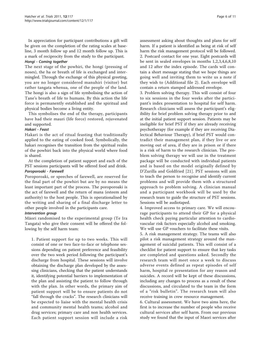In appreciation for participant contributions a gift will be given on the completion of the rating scales at baseline, 3 month follow up and 12 month follow up. This is a mark of reciprocity from the study to the participant.

# Hongi - Coming together

The next stage of the powhiri, the hongi (pressing of noses), the ha or breath of life is exchanged and intermingled. Through the exchange of this physical greeting, you are no longer considered manuhiri (visitor) but rather tangata whenua, one of the people of the land. The hongi is also a sign of life symbolising the action of Tane's breath of life to humans. By this action the life force is permanently established and the spiritual and physical bodies become a living entity.

This symbolises the end of the therapy, participants have had their mauri (life force) restored, rejuvenated and supported.

# Hakari - Feast

Hakari is the act of ritual feasting that traditionally applied to the eating of cooked food. Symbolically, the hakari recognises the transition from the spiritual realm of the powhiri back into the physical world where food is shared.

At the completion of patient support and each of the PST sessions participants will be offered food and drink. Poroporoaki - Farewell

Poroporoaki, or speeches of farewell, are reserved for the final part of the powhiri but are by no means the least important part of the process. The poroporoaki is the act of farewell and the return of mana (esteem and authority) to the host people. This is operationalised by the writing and sharing of a final discharge letter to other people involved in the participants care.

# Intervention group

Māori randomised to the experimental group (Te Ira Tangata) who give their consent will be offered the following by the self harm team:

1. Patient support for up to two weeks. This will consist of one or two face-to-face or telephone sessions depending on patient preference and feasibility over the two week period following the participant's discharge from hospital. These sessions will involve obtaining the discharge plan developed by the assessing clinicians, checking that the patient understands it, identifying potential barriers to implementation of the plan and assisting the patient to follow through with the plan. In other words, the primary aim of patient support will be to ensure patients do not "fall through the cracks". The research clinicians will be expected to liaise with the mental health crisis and community mental health teams; alcohol and drug services; primary care and non health services. Each patient support session will include a risk assessment asking about thoughts and plans for self harm. If a patient is identified as being at risk of self harm the risk management protocol will be followed. 2. Postcard contact for one year. Eight postcards will be sent in sealed envelopes in months 1,2,3,4,6,8,10 and 12 after the index episode. The cards will contain a short message stating that we hope things are going well and inviting them to write us a note if they wish to (Additional file [2\)](#page-10-0). Each envelope will contain a return stamped addressed envelope.

3. Problem solving therapy. This will consist of four to six sessions in the four weeks after the participant's index presentation to hospital for self harm. Research clinicians will assess the participant's eligibility for brief problem solving therapy prior to and at the initial patient support session. Patients may be ineligible for brief PST if they are already receiving psychotherapy (for example if they are receiving Dialectical Behaviour Therapy), if brief PST would contradict their management plan, if they live or are moving out of area, if they are in prison or if there is a risk of harm to the research clinician. The problem solving therapy we will use in the treatment package will be conducted with individual patients and is based on the model originally defined by D'Zurilla and Goldfried [[21](#page-11-0)]. PST sessions will aim to teach the person to recognise and identify current problems and will provide them with a structured approach to problem solving. A clinician manual and a participant workbook will be used by the research team to guide the structure of PST sessions. Sessions will be audiotaped.

4. Improved access to primary care. We will encourage participants to attend their GP for a physical health check paying particular attention to cardiovascular risk factors especially alcohol and smoking. We will use GP vouchers to facilitate these visits.

5. A risk management strategy. The teams will also pilot a risk management strategy around the management of suicidal patients. This will consist of a checklist for patient support to ensure that key tasks are completed and questions asked. Secondly the research team will meet once a week to discuss adverse events defined as repeat episodes of self harm, hospital re presentation for any reason and suicides. A record will be kept of these discussions, including any changes to process as a result of these discussions, and circulated to the team in the form of a "risk bulletin". The research team will also receive training in crew resource management.

6. Cultural assessment. We have two aims here, the first is to increase the number of people who receive cultural services after self harm. From our previous study we found that the input of Maori services after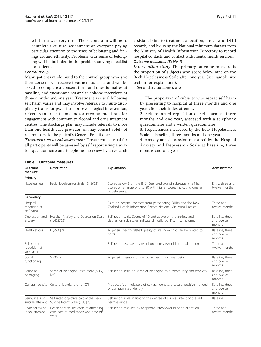self harm was very rare. The second aim will be to complete a cultural assessment on everyone paying particular attention to the sense of belonging and feelings around ethnicity. Problems with sense of belonging will be included in the problem solving checklist for patients.

#### Control group

Māori patients randomised to the control group who give their consent will receive treatment as usual and will be asked to complete a consent form and questionnaires at baseline, and questionnaires and telephone interviews at three months and one year. Treatment as usual following self harm varies and may involve referrals to multi-disciplinary teams for psychiatric or psychological intervention, referrals to crisis teams and/or recommendations for engagement with community alcohol and drug treatment centres. The discharge plan may include referrals to more than one health care provider, or may consist solely of referral back to the patient's General Practitioner.

Treatment as usual assessment Treatment as usual for all participants will be assessed by self report using a written questionnaire and telephone interview by a research assistant blind to treatment allocation; a review of DHB records; and by using the National minimum dataset from the Ministry of Health Information Directory to record hospital contacts and contact with mental health services. Outcome measures (Table 1)

Intervention study The primary outcome measure is the proportion of subjects who score below nine on the Beck Hopelessness Scale after one year (see sample size section for explanation).

Secondary outcomes are:

1. The proportion of subjects who repeat self harm by presenting to hospital at three months and one year after their index attempt.

2. Self reported repetition of self harm at three months and one year, assessed with a telephone questionnaire and a written questionnaire

3. Hopelessness measured by the Beck Hopelessness Scale at baseline, three months and one year

4. Anxiety and depression measured by the Hospital Anxiety and Depression Scale at baseline, three months and one year

| Outcome<br>measure                        | <b>Description</b>                                                                      | Explanation                                                                                                                                               | Administered                             |
|-------------------------------------------|-----------------------------------------------------------------------------------------|-----------------------------------------------------------------------------------------------------------------------------------------------------------|------------------------------------------|
| Primary                                   |                                                                                         |                                                                                                                                                           |                                          |
| Hopelessness                              | Beck Hopelessness Scale (BHS)[22]                                                       | Scores below 9 on the BHS. Best predictor of subsequent self harm.<br>Scores on a range of 0 to 20 with higher scores indicating greater<br>hopelessness. | Entry, three and<br>twelve months        |
| Secondary                                 |                                                                                         |                                                                                                                                                           |                                          |
| Hospital<br>repetition of<br>self harm    |                                                                                         | Data on hospital contacts from participating DHB's and the New<br>Zealand Health Information Service National Minimum Dataset                             | Three and<br>twelve months               |
| Depression and<br>anxiety                 | Hospital Anxiety and Depression Scale<br>(HADS)[23]                                     | Self report scale. Scores of 10 and above on the anxiety and<br>depression sub scales indicate clinically significant symptoms.                           | Baseline, three<br>and twelve<br>months. |
| Health status                             | EQ-5D [24]                                                                              | A generic health-related quality of life index that can be related to<br>costs.                                                                           | Baseline, three<br>and twelve<br>months. |
| Self report<br>repetition of<br>self-harm |                                                                                         | Self report assessed by telephone interviewer blind to allocation                                                                                         | Three and<br>twelve months               |
| Social<br>functioning                     | SF-36 [25]                                                                              | A generic measure of functional health and well being                                                                                                     | Baseline, three<br>and twelve<br>months  |
| Sense of<br>belonging                     | Sense of belonging instrument (SOBI)<br>[26]                                            | Self report scale on sense of belonging to a community and ethnicity                                                                                      | Baseline, three<br>and twelve<br>months  |
|                                           | Cultural identity Cultural identity profile [27]                                        | Produces four indicators of cultural identity, a secure, positive, notional<br>or compromised identity                                                    | Baseline, three<br>and twelve<br>months  |
| Seriousness of<br>suicide attempt         | Self rated objective part of the Beck<br>Suicide Intent Scale (BSIS)[28]                | Self report scale indicating the degree of suicidal intent of the self<br>harm episode                                                                    | Baseline                                 |
| Costs following<br>index attempt          | Health service use, costs of attending<br>care, cost of medication and time off<br>work | Self report assessed by telephone interviewer blind to allocation                                                                                         | Three and<br>twelve months               |

Table 1 Outcome measures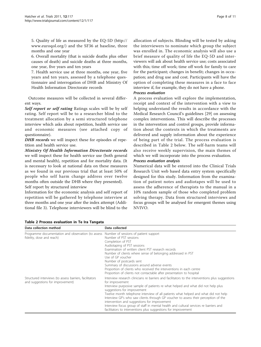5. Quality of life as measured by the EQ-5D ([http://](http://www.euroqol.org/) [www.euroqol.org/\)](http://www.euroqol.org/) and the SF36 at baseline, three months and one year

6. Overall mortality (that is suicide deaths plus other causes of death) and suicide deaths at three months, one year, five years and ten years

7. Health service use at three months, one year, five years and ten years, assessed by a telephone questionnaire and interrogation of DHB and Ministry Of Health Information Directorate records

Outcome measures will be collected in several different ways.

Self report or self rating Ratings scales will be by self rating. Self report will be to a researcher blind to the treatment allocation by a semi structured telephone interview which asks about repetition, health service use and economic measures (see attached copy of questionnaire).

DHB records we will inspect these for episodes of repetition and health service use.

Ministry Of Health Information Directorate records we will inspect these for health service use (both general and mental health), repetition and for mortality data. (It is necessary to look at national data on these measures as we found in our previous trial that at least 50% of people who self harm change address over twelve months often outside the DHB where they presented). Self report by structured interview

Information for the economic analysis and self report of repetition will be gathered by telephone interview at three months and one year after the index attempt (Additional file [3\)](#page-10-0). Telephone interviewers will be blind to the

allocation of subjects. Blinding will be tested by asking the interviewers to nominate which group the subject was enrolled in. The economic analysis will also use a brief measure of quality of life the EQ-5D and interviewers will ask about health service use; costs associated with this; time off work; time off work for family to care for the participant; changes in benefit; changes in occupation; and drug use and cost. Participants will have the option of completing these measures in a face to face interview if, for example, they do not have a phone.

## Process evaluation

A process evaluation will explore the implementation, receipt and context of the intervention with a view to helping understand the results in accordance with the Medical Research Council's guidelines [[29\]](#page-11-0) on assessing complex interventions. This will describe the processes in the intervention and control groups, provide information about the contexts in which the treatments are delivered and supply information about the experience of being part of the trial. The process evaluation is described in Table 2 below. The self-harm teams will also receive weekly supervision, the main themes of which we will incorporate into the process evaluation.

## Process evaluation analysis

Numerical data will be entered into the Clinical Trials Research Unit web based data entry system specifically designed for this study. Information from the examination of patient notes and audiotapes will be used to assess the adherence of therapists to the manual in a 10% random sample of those who completed problem solving therapy. Data from structured interviews and focus groups will be analysed for emergent themes using NVIVO.

Table 2 Process evaluation in Te Ira Tangata

| Data collection method                                                                                                | Data collected                                                                                                                                                                                                                                                                                                                                                                                                                                                                                                                                                                                                                 |  |
|-----------------------------------------------------------------------------------------------------------------------|--------------------------------------------------------------------------------------------------------------------------------------------------------------------------------------------------------------------------------------------------------------------------------------------------------------------------------------------------------------------------------------------------------------------------------------------------------------------------------------------------------------------------------------------------------------------------------------------------------------------------------|--|
| Programme documentation and observation (to assess Number of sessions of patient support<br>fidelity, dose and reach) | Number of PST sessions<br>Completion of PST<br>Audiotaping of PST sessions<br>Examination of written client PST research records<br>Number of clients where sense of belonging addressed in PST<br>Use of GP voucher<br>Number of postcards sent<br>Summary of discussions around adverse events<br>Proportion of clients who received the interventions in each centre<br>Proportion of clients not contactable after presentation to hospital                                                                                                                                                                                |  |
| Structured interviews (to assess barriers, facilitators<br>and suggestions for improvement)                           | Interview research clinicians re barriers and facilitators to the interventions plus suggestions<br>for improvement<br>Interview purposive sample of patients re what helped and what did not help plus<br>suggestions for improvement<br>Twelve month telephone interview of all patients what helped and what did not help<br>Interview GP's who saw clients through GP voucher to assess their perception of the<br>intervention and suggestions for improvement<br>Interview focus group of staff in mental health and cultural services re barriers and<br>facilitators to interventions plus suggestions for improvement |  |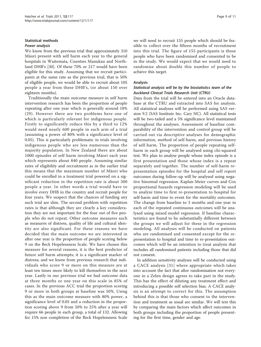#### Statistical methods

#### Power analysis

We know from the previous trial that approximately 310 Māori present with self harm each year to the general hospitals in Waitemata, Counties Manukau and Northland DHB's [\[30](#page-11-0)]. Of these 70% or 217 would have been eligible for this study. Assuming that we recruit participants at the same rate as the previous trial, that is 50% of eligible people, we would be able to recruit about 105 people a year from these DHB's, (or about 150 over eighteen months).

Traditionally the main outcome measure in self harm intervention research has been the proportion of people repeating after one year which is generally around 18% (29). However there are two problems here one of which is particularly relevant for indigenous people. Firstly to significantly reduce this by a third to 12% would need nearly 600 people in each arm of a trial (assuming a power of 80% with a significance level of 0.05). This is particularly problematic in trials involving indigenous people who are less numerous than the majority population. In New Zealand there are about 1000 episodes of self harm involving Māori each year which represents about 840 people. Assuming similar rates of eligibility and recruitment as in the earlier trial this means that the maximum number of Māori who could be enrolled in a treatment trial powered on a significant reduction in the repetition rate is about 300 people a year. In other words a trial would have to involve every DHB in the country and recruit people for four years. We suspect that the chances of funding any such trial are slim. The second problem with repetition rates is that although they are clearly a key consideration they are not important for the four out of five people who do not repeat. Other outcome measures such as measures of distress, quality of life and cultural identity are also significant. For these reasons we have decided that the main outcome we are interested in after one year is the proportion of people scoring below 9 on the Beck Hopelessness Scale. We have chosen this measure for several reasons, it is the best predictor of future self harm attempts; it is a significant marker of distress; and we know from previous research that individuals who score 9 or more on this measure are at least ten times more likely to kill themselves in the next year. Lastly in our previous trial we had outcome data at three months or one year on this scale in 85% of cases. In the previous ACC trial the proportion scoring 9 or more in both groups at baseline was 50%. Using this as the main outcome measure with 80% power, a significance level of 0.05 and a reduction in the proportion scoring above 9 from 50% to 25% after a year will require 66 people in each group, a total of 132. Allowing for 15% non completion of the Beck Hopelessness Scale

we will need to recruit 155 people which should be feasible to collect over the fifteen months of recruitment into this trial. The figure of 155 participants is those people who have been randomised and consented to be in the study. We would expect that we would need to randomise about double this number of people to achieve this target.

#### Analysis

# Statistical analysis will be by the biostatistics team of the Auckland Clinical Trials Research Unit (CTRU)

Data from the trial will be entered into an Oracle database at the CTRU and extracted into SAS for analysis. All statistical analyses will be performed using SAS version 9.2 (SAS Institute Inc. Cary NC). All statistical tests will be two-tailed and a 5% significance level maintained throughout the analyses. Assessment of baseline comparability of the intervention and control group will be carried out via descriptive analyses for demographic information, method of self-harm, and previous history of self-harm. The proportion of people repeating selfharm in each group will be analysed using chi-squared test. We plan to analyse people whose index episode is a first presentation and those whose index is a repeat separately and together. The number of self-harm representation episodes for the hospital and self report outcomes during follow-up will be analysed using negative binomial regression. Kaplan-Meier curves and Cox proportional hazards regression modeling will be used to analyze time to first re-presentation to hospital for self-harm and time to event for the mortality outcomes. The change from baseline to 3 months and one year in each of the repeated continuous outcomes will be analysed using mixed model regression. If baseline characteristics are found to be substantially different between the groups we will adjust for these in the regression modeling. All analyses will be conducted on patients who are randomised and consented except for the representation to hospital and time to re-presentation outcomes which will be an intention to treat analysis that includes all randomised patients including those that did not consent.

In addition sensitivity analyses will be conducted using a CACE analysis [[31](#page-11-0)] where appropriate which takes into account the fact that after randomisation not everyone in a Zelen design agrees to take part in the study. This has the effect of diluting any treatment effect and introducing a possible self selection bias. A CACE analysis is an attempt to correct for this. The assumption behind this is that those who consent to the intervention and treatment as usual are similar. We will test this by comparing the main factors which affect outcomes in both groups including the proportion of people presenting for the first time, gender and age.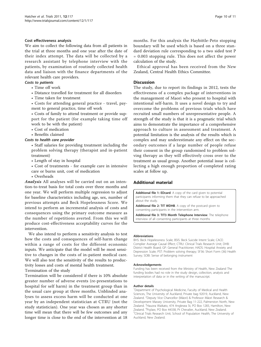#### <span id="page-10-0"></span>Cost effectiveness analysis

We aim to collect the following data from all patients in the trial at three months and one year after the date of their index attempt. The data will be collected by a research assistant by telephone interview with the patients, by examination of routinely collected health data and liaison with the finance departments of the relevant health care providers.

## Costs to patients

- Time off work
- Distance travelled for treatment for all disorders
- Time taken for treatment

• Costs for attending general practice - travel, payment to general practice, time off work

• Costs of family to attend treatment or provide support for the patient (for example taking time off work to be with the patient)

- Cost of medication
- Benefits claimed

#### Costs to health care provider

• Staff salaries for providing treatment including the problem solving therapy (therapist and in-patient treatment)

- Length of stay in hospital
- Cost of treatments for example care in intensive care or burns unit, cost of medication
- Overheads

Analysis All analyses will be carried out on an intention-to-treat basis for total costs over three months and one year. We will perform multiple regression to adjust for baseline characteristics including age, sex, number of previous attempts and Beck Hopelessness Score. We intend to perform an incremental analysis of costs and consequences using the primary outcome measure as the number of repetitions averted. From this we will produce cost-effectiveness acceptability curves for the intervention.

We also intend to perform a sensitivity analysis to test how the costs and consequences of self-harm change within a range of costs for the different economic inputs. We anticipate that the model will be most sensitive to changes in the costs of in-patient medical care. We will also test the sensitivity of the results to productivity losses and costs of mental health treatment.

Termination of the study

Termination will be considered if there is 10% absolute greater number of adverse events (re-presentations to hospital for self harm) in the treatment group than in the usual care group at three months. Unblinded analyses to assess excess harm will be conducted at one year by an independent statistician at CTRU (not the study statistician). One year was chosen as any shorter time will mean that there will be few outcomes and any longer time is close to the end of the intervention at 18

boundary will be used which is based on a three standard deviation rule corresponding to a two sided test P = 0.003 stopping rule. This does not affect the power calculation of the study.

Ethical approval has been received from the New Zealand, Central Health Ethics Committee.

#### **Discussion**

The study, due to report its findings in 2012, tests the effectiveness of a complex package of interventions in the management of Maori who present to hospital with intentional self-harm. It uses a novel design to try and overcome the problems of previous trials which have recruited small numbers of unrepresentative people. A strength of the study is that it is a pragmatic trial which aims to demonstrate the importance of a comprehensive approach to culture in assessment and treatment. A potential limitation is the analysis of the results which is complex and may underestimate any effect on the secondary outcomes if a large number of people refuse their consent in the group randomised to problem solving therapy as they will effectively cross over to the treatment as usual group. Another potential issue is collecting a high enough proportion of completed rating scales at follow up.

## Additional material

[Additional file 1: E](http://www.biomedcentral.com/content/supplementary/1745-6215-12-117-S1.PDF)Dcard. A copy of the card given to potential participants informing them that they can refuse to be approached about the study.

[Additional file 2: T](http://www.biomedcentral.com/content/supplementary/1745-6215-12-117-S2.PDF)IT WDHB. A copy of the postcard given to consenting participants in the intervention arm.

[Additional file 3: T](http://www.biomedcentral.com/content/supplementary/1745-6215-12-117-S3.DOC)IT3 Month Telephone Interview. The telephone interview of all consenting participants at three months

#### Abbreviations

BHS: Beck Hopelessness Scale; BSIS: Beck Suicide Intent Scale; CACE: Complier Average Causal Effect; CTRU: Clinical Trials Research Unit; DHB: District Health Board; GP: General Practitioner; HADS: Hospital Anxiety and Depression Scale; PST: Problem solving therapy; SF36: Short Form (36) Health Survey; SOBI: Sense of belonging instrument

#### Acknowledgements

Funding has been received from the Ministry of Health, New Zealand The funding bodies had no role in the study design, collection, analysis and interpretation of data or in the writing of the manuscript.

#### Author details

<sup>1</sup>Department of Psychological Medicine, Faculty of Medical and Health Sciences, The University of Auckland, Private bag 92019, Auckland, New Zealand. <sup>2</sup> Deputy Vice Chancellor (Māori) & Professor Māori Research & Development Massey University, Private Bag 11-222, Palmerston North, New Zealand. <sup>3</sup> Hauora Waikato, 474 Anglesea St, PO Box 1283, Hamilton, New Zealand. <sup>4</sup> Psylaw, PO Box 44338, Pt Chevalier, Auckland, New Zealand.<br><sup>5</sup> Clinical Trials Research Unit, School of Republish Hoalth, The Univers <sup>5</sup>Clinical Trials Research Unit, School of Population Health, The University of Auckland, New Zealand.